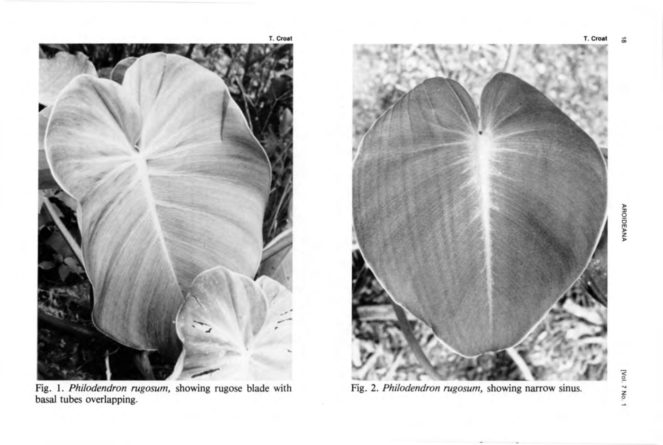

Fig. 1. Philodendron rugosum, showing rugose blade with basal tubes overlapping.



Fig. 2. Philodendron rugosum, showing narrow sinus.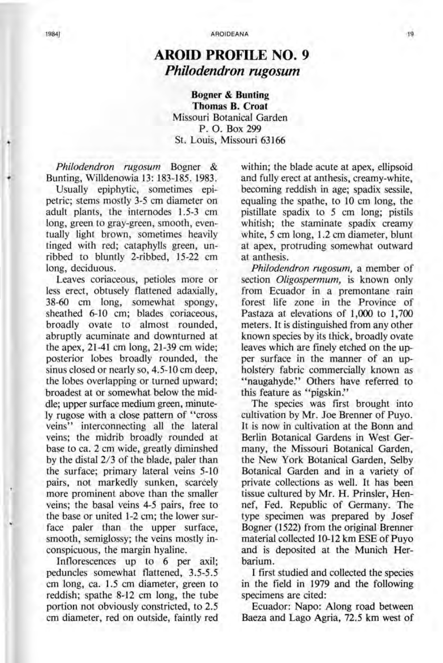## **AROID PROFILE NO. 9**  *Philodendron rugosum*

**Bogner & Bunting Thomas B. Croat**  Missouri Botanical Garden P. O. Box 299 St. Louis, Missouri 63166

*Philodendron rugosum* Bogner & Bunting, Willdenowia 13: 183-185. 1983.

Usually epiphytic, sometimes epipetric; stems mostly 3-5 cm diameter on adult plants, the internodes 1.5-3 cm long, green to gray-green, smooth, eventually light brown, sometimes heavily tinged with red; cataphylls green, unribbed to bluntly 2-ribbed, 15-22 cm long, deciduous.

Leaves coriaceous, petioles more or less erect, obtusely flattened adaxially, 38-60 cm long, somewhat spongy, sheathed 6-10 cm; blades coriaceous, broadly ovate to almost rounded, abruptly acuminate and downturned at the apex, 21-41 cm long, 21-39 cm wide; posterior lobes broadly rounded, the sinus closed or nearly so, 4.5-10 cm deep, the lobes overlapping or turned upward; broadest at or somewhat. below the middle; upper surface medium green, minutely rugose with a close pattern of "cross veins" interconnecting all the lateral veins; the midrib broadly rounded at base to ca. 2 cm wide, greatly diminshed by the distal 2/3 of the blade, paler than the surface; primary lateral veins 5-10 pairs, not markedly sunken, scarcely more prominent above than the smaller veins; the basal veins 4-5 pairs, free to the base or united 1-2 cm; the lower surface paler than the upper surface, smooth, semiglossy; the veins mostly inconspicuous, the margin hyaline.

Inflorescences up to 6 per axil; peduncles somewhat flattened, 3.5-5.5 cm long, ca. 1.5 cm diameter, green to reddish; spathe 8-12 cm long, the tube portion not obviously constricted, to 2.5 cm diameter, red on outside, faintly red within; the blade acute at apex, ellipsoid and fully erect at anthesis, creamy-white, becoming reddish in age; spadix sessile, equaling the spathe, to 10 cm long, the pistillate spadix to 5 cm long; pistils whitish; the staminate spadix creamy white, 5 cm long, 1.2 cm diameter, blunt at apex, protruding somewhat outward at anthesis.

*Philodendron rugosum,* a member of section *O/igospermum,* is known only from Ecuador in a premontane rain forest life zone in the Province of Pastaza at elevations of 1,000 to 1,700 meters. It is distinguished from any other known species by its thick, broadly ovate leaves which are finely etched on the upper surface in the manner of an upholstery fabric commercially known as "naugahyde." Others have referred to this feature as "pigskin."

The species was first brought into cultivation by Mr. Joe Brenner of Puyo. It is now in cultivation at the Bonn and Berlin Botanical Gardens in West Germany, the Missouri Botanical Garden, the New York Botanical Garden, Selby Botanical Garden and in a variety of private collections as well. It has been tissue cultured by Mr. H. Prinsler, Hennef, Fed. Republic of Germany. The type specimen was prepared by Josef Bogner (1522) from the original Brenner material collected 10-12 km ESE of Puyo and is deposited at the Munich Herbarium.

I first studied and collected the species in the field in 1979 and the following specimens are cited:

Ecuador: Napo: Along road between Baeza and Lago Agria, 72.5 km west of